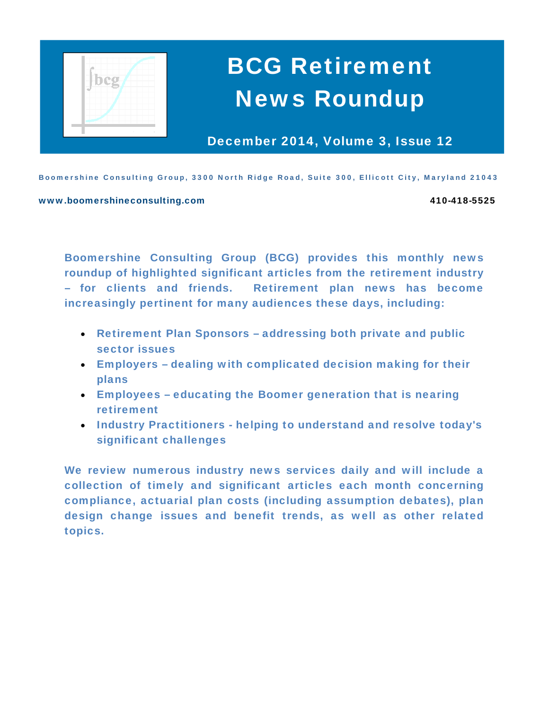

# BCG Retirement News Roundup

December 2014, Volume 3, Issue 12

Boomershine Consulting Group, 3300 North Ridge Road, Suite 300, Ellicott City, Maryland 21043

www.boomershineconsulting.com 410-418-5525

Boomershine Consulting Group (BCG) provides this monthly news roundup of highlighted significant articles from the retirement industry – for clients and friends. Retirement plan news has become increasingly pertinent for many audiences these days, including:

- Retirement Plan Sponsors addressing both private and public sector issues
- Employers dealing with complicated decision making for their plans
- Employees educating the Boomer generation that is nearing retirement
- Industry Practitioners helping to understand and resolve today's significant challenges

We review numerous industry news services daily and will include a collection of timely and significant articles each month concerning compliance, actuarial plan costs (including assumption debates), plan design change issues and benefit trends, as well as other related topics.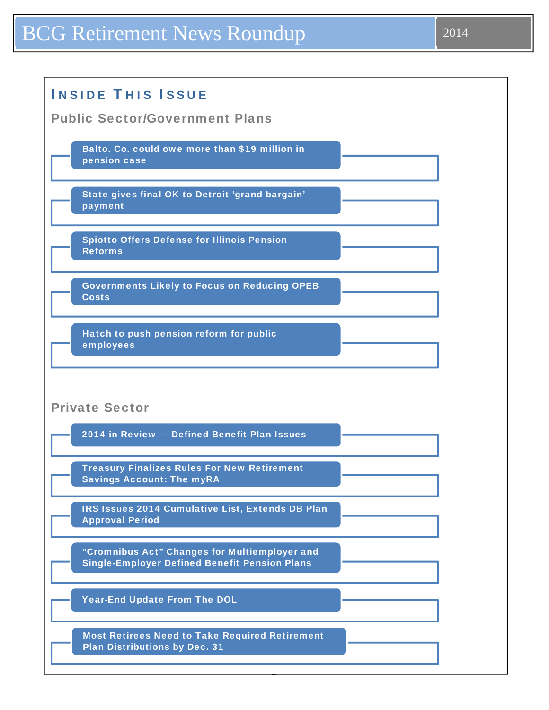# BCG Retirement News Roundup 2014

| <b>INSIDE THIS ISSUE</b>                                                                              |
|-------------------------------------------------------------------------------------------------------|
| <b>Public Sector/Government Plans</b>                                                                 |
| Balto. Co. could owe more than \$19 million in<br>pension case                                        |
| State gives final OK to Detroit 'grand bargain'<br>payment                                            |
| <b>Spiotto Offers Defense for Illinois Pension</b><br><b>Reforms</b>                                  |
| <b>Governments Likely to Focus on Reducing OPEB</b><br><b>Costs</b>                                   |
| Hatch to push pension reform for public<br>employees                                                  |
| <b>Private Sector</b>                                                                                 |
| 2014 in Review - Defined Benefit Plan Issues                                                          |
| <b>Treasury Finalizes Rules For New Retirement</b><br><b>Savings Account: The myRA</b>                |
| IRS Issues 2014 Cumulative List, Extends DB Plan<br><b>Approval Period</b>                            |
| "Cromnibus Act" Changes for Multiemployer and<br><b>Single-Employer Defined Benefit Pension Plans</b> |
| <b>Year-End Update From The DOL</b>                                                                   |
| <b>Most Retirees Need to Take Required Retirement</b><br><b>Plan Distributions by Dec. 31</b>         |
|                                                                                                       |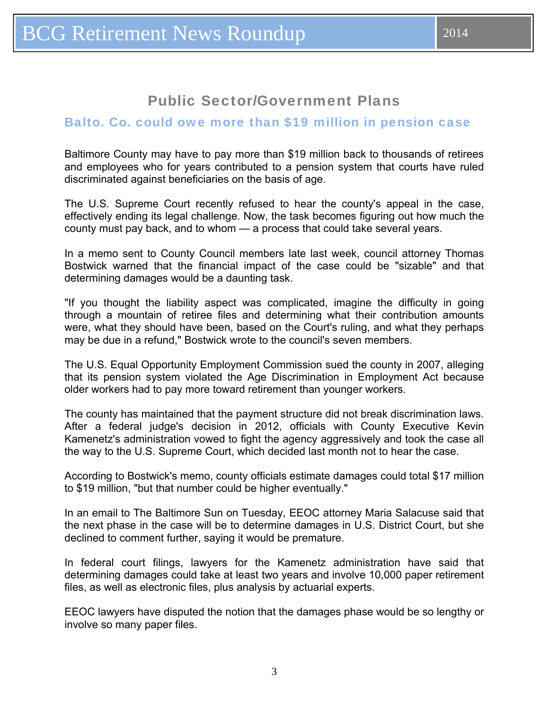### <span id="page-2-0"></span>Balto. Co. could owe more than \$19 million in pension case

Baltimore County may have to pay more than \$19 million back to thousands of retirees and employees who for years contributed to a pension system that courts have ruled discriminated against beneficiaries on the basis of age.

The U.S. Supreme Court recently refused to hear the county's appeal in the case, effectively ending its legal challenge. Now, the task becomes figuring out how much the county must pay back, and to whom — a process that could take several years.

In a memo sent to County Council members late last week, council attorney Thomas Bostwick warned that the financial impact of the case could be "sizable" and that determining damages would be a daunting task.

"If you thought the liability aspect was complicated, imagine the difficulty in going through a mountain of retiree files and determining what their contribution amounts were, what they should have been, based on the Court's ruling, and what they perhaps may be due in a refund," Bostwick wrote to the council's seven members.

The U.S. Equal Opportunity Employment Commission sued the county in 2007, alleging that its pension system violated the Age Discrimination in Employment Act because older workers had to pay more toward retirement than younger workers.

The county has maintained that the payment structure did not break discrimination laws. After a federal judge's decision in 2012, officials with County Executive Kevin Kamenetz's administration vowed to fight the agency aggressively and took the case all the way to the U.S. Supreme Court, which decided last month not to hear the case.

According to Bostwick's memo, county officials estimate damages could total \$17 million to \$19 million, "but that number could be higher eventually."

In an email to The Baltimore Sun on Tuesday, EEOC attorney Maria Salacuse said that the next phase in the case will be to determine damages in U.S. District Court, but she declined to comment further, saying it would be premature.

In federal court filings, lawyers for the Kamenetz administration have said that determining damages could take at least two years and involve 10,000 paper retirement files, as well as electronic files, plus analysis by actuarial experts.

EEOC lawyers have disputed the notion that the damages phase would be so lengthy or involve so many paper files.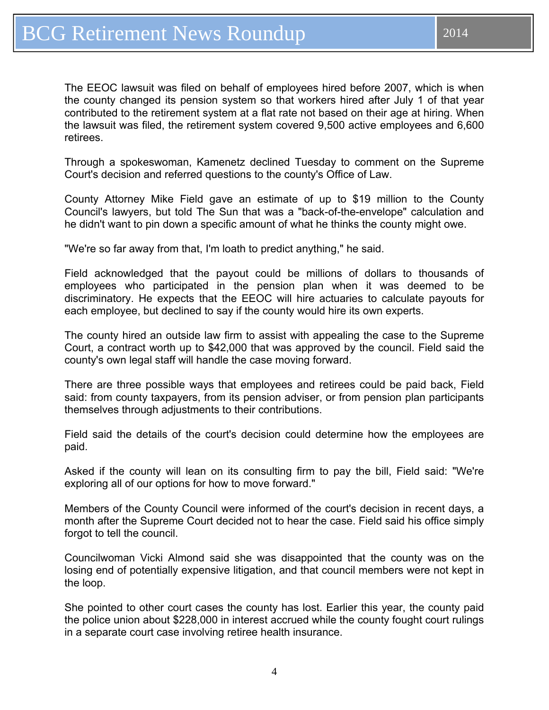The EEOC lawsuit was filed on behalf of employees hired before 2007, which is when the county changed its pension system so that workers hired after July 1 of that year contributed to the retirement system at a flat rate not based on their age at hiring. When the lawsuit was filed, the retirement system covered 9,500 active employees and 6,600 retirees.

Through a spokeswoman, Kamenetz declined Tuesday to comment on the Supreme Court's decision and referred questions to the county's Office of Law.

County Attorney Mike Field gave an estimate of up to \$19 million to the County Council's lawyers, but told The Sun that was a "back-of-the-envelope" calculation and he didn't want to pin down a specific amount of what he thinks the county might owe.

"We're so far away from that, I'm loath to predict anything," he said.

Field acknowledged that the payout could be millions of dollars to thousands of employees who participated in the pension plan when it was deemed to be discriminatory. He expects that the EEOC will hire actuaries to calculate payouts for each employee, but declined to say if the county would hire its own experts.

The county hired an outside law firm to assist with appealing the case to the Supreme Court, a contract worth up to \$42,000 that was approved by the council. Field said the county's own legal staff will handle the case moving forward.

There are three possible ways that employees and retirees could be paid back, Field said: from county taxpayers, from its pension adviser, or from pension plan participants themselves through adjustments to their contributions.

Field said the details of the court's decision could determine how the employees are paid.

Asked if the county will lean on its consulting firm to pay the bill, Field said: "We're exploring all of our options for how to move forward."

Members of the County Council were informed of the court's decision in recent days, a month after the Supreme Court decided not to hear the case. Field said his office simply forgot to tell the council.

Councilwoman Vicki Almond said she was disappointed that the county was on the losing end of potentially expensive litigation, and that council members were not kept in the loop.

She pointed to other court cases the county has lost. Earlier this year, the county paid the police union about \$228,000 in interest accrued while the county fought court rulings in a separate court case involving retiree health insurance.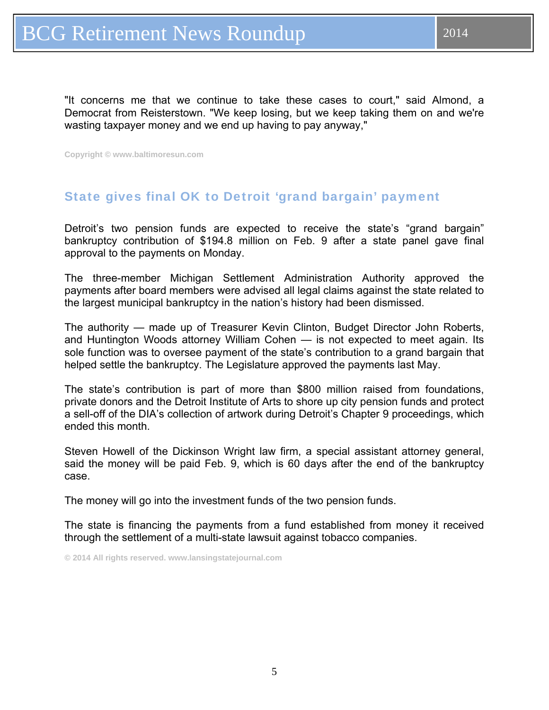<span id="page-4-0"></span>"It concerns me that we continue to take these cases to court," said Almond, a Democrat from Reisterstown. "We keep losing, but we keep taking them on and we're wasting taxpayer money and we end up having to pay anyway,"

**Copyright © www.baltimoresun.com** 

## State gives final OK to Detroit 'grand bargain' payment

Detroit's two pension funds are expected to receive the state's "grand bargain" bankruptcy contribution of \$194.8 million on Feb. 9 after a state panel gave final approval to the payments on Monday.

The three-member Michigan Settlement Administration Authority approved the payments after board members were advised all legal claims against the state related to the largest municipal bankruptcy in the nation's history had been dismissed.

The authority — made up of Treasurer Kevin Clinton, Budget Director John Roberts, and Huntington Woods attorney William Cohen — is not expected to meet again. Its sole function was to oversee payment of the state's contribution to a grand bargain that helped settle the bankruptcy. The Legislature approved the payments last May.

The state's contribution is part of more than \$800 million raised from foundations, private donors and the Detroit Institute of Arts to shore up city pension funds and protect a sell-off of the DIA's collection of artwork during Detroit's Chapter 9 proceedings, which ended this month.

Steven Howell of the Dickinson Wright law firm, a special assistant attorney general, said the money will be paid Feb. 9, which is 60 days after the end of the bankruptcy case.

The money will go into the investment funds of the two pension funds.

The state is financing the payments from a fund established from money it received through the settlement of a multi-state lawsuit against tobacco companies.

**© 2014 All rights reserved. www.lansingstatejournal.com**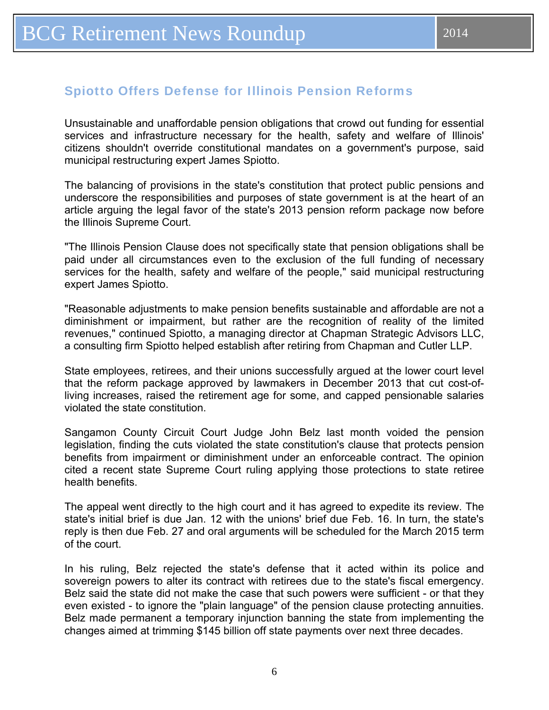<span id="page-5-0"></span>Unsustainable and unaffordable pension obligations that crowd out funding for essential services and infrastructure necessary for the health, safety and welfare of Illinois' citizens shouldn't override constitutional mandates on a government's purpose, said municipal restructuring expert James Spiotto.

The balancing of provisions in the state's constitution that protect public pensions and underscore the responsibilities and purposes of state government is at the heart of an article arguing the legal favor of the state's 2013 pension reform package now before the Illinois Supreme Court.

"The Illinois Pension Clause does not specifically state that pension obligations shall be paid under all circumstances even to the exclusion of the full funding of necessary services for the health, safety and welfare of the people," said municipal restructuring expert James Spiotto.

"Reasonable adjustments to make pension benefits sustainable and affordable are not a diminishment or impairment, but rather are the recognition of reality of the limited revenues," continued Spiotto, a managing director at Chapman Strategic Advisors LLC, a consulting firm Spiotto helped establish after retiring from Chapman and Cutler LLP.

State employees, retirees, and their unions successfully argued at the lower court level that the reform package approved by lawmakers in December 2013 that cut cost-ofliving increases, raised the retirement age for some, and capped pensionable salaries violated the state constitution.

Sangamon County Circuit Court Judge John Belz last month voided the pension legislation, finding the cuts violated the state constitution's clause that protects pension benefits from impairment or diminishment under an enforceable contract. The opinion cited a recent state Supreme Court ruling applying those protections to state retiree health benefits.

The appeal went directly to the high court and it has agreed to expedite its review. The state's initial brief is due Jan. 12 with the unions' brief due Feb. 16. In turn, the state's reply is then due Feb. 27 and oral arguments will be scheduled for the March 2015 term of the court.

In his ruling, Belz rejected the state's defense that it acted within its police and sovereign powers to alter its contract with retirees due to the state's fiscal emergency. Belz said the state did not make the case that such powers were sufficient - or that they even existed - to ignore the "plain language" of the pension clause protecting annuities. Belz made permanent a temporary injunction banning the state from implementing the changes aimed at trimming \$145 billion off state payments over next three decades.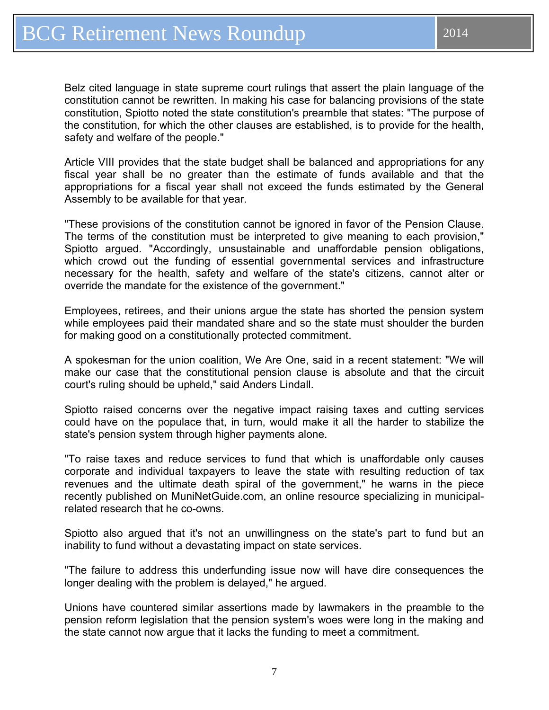Belz cited language in state supreme court rulings that assert the plain language of the constitution cannot be rewritten. In making his case for balancing provisions of the state constitution, Spiotto noted the state constitution's preamble that states: "The purpose of the constitution, for which the other clauses are established, is to provide for the health, safety and welfare of the people."

Article VIII provides that the state budget shall be balanced and appropriations for any fiscal year shall be no greater than the estimate of funds available and that the appropriations for a fiscal year shall not exceed the funds estimated by the General Assembly to be available for that year.

"These provisions of the constitution cannot be ignored in favor of the Pension Clause. The terms of the constitution must be interpreted to give meaning to each provision," Spiotto argued. "Accordingly, unsustainable and unaffordable pension obligations, which crowd out the funding of essential governmental services and infrastructure necessary for the health, safety and welfare of the state's citizens, cannot alter or override the mandate for the existence of the government."

Employees, retirees, and their unions argue the state has shorted the pension system while employees paid their mandated share and so the state must shoulder the burden for making good on a constitutionally protected commitment.

A spokesman for the union coalition, We Are One, said in a recent statement: "We will make our case that the constitutional pension clause is absolute and that the circuit court's ruling should be upheld," said Anders Lindall.

Spiotto raised concerns over the negative impact raising taxes and cutting services could have on the populace that, in turn, would make it all the harder to stabilize the state's pension system through higher payments alone.

"To raise taxes and reduce services to fund that which is unaffordable only causes corporate and individual taxpayers to leave the state with resulting reduction of tax revenues and the ultimate death spiral of the government," he warns in the piece recently published on MuniNetGuide.com, an online resource specializing in municipalrelated research that he co-owns.

Spiotto also argued that it's not an unwillingness on the state's part to fund but an inability to fund without a devastating impact on state services.

"The failure to address this underfunding issue now will have dire consequences the longer dealing with the problem is delayed," he argued.

Unions have countered similar assertions made by lawmakers in the preamble to the pension reform legislation that the pension system's woes were long in the making and the state cannot now argue that it lacks the funding to meet a commitment.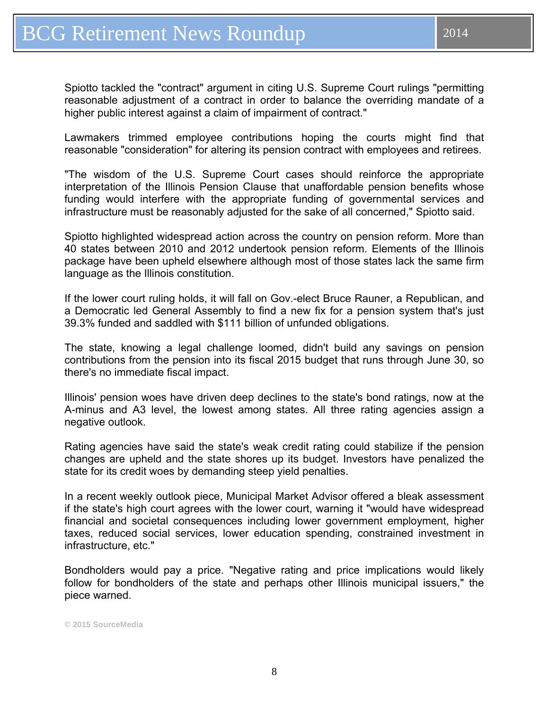Spiotto tackled the "contract" argument in citing U.S. Supreme Court rulings "permitting reasonable adjustment of a contract in order to balance the overriding mandate of a higher public interest against a claim of impairment of contract."

Lawmakers trimmed employee contributions hoping the courts might find that reasonable "consideration" for altering its pension contract with employees and retirees.

"The wisdom of the U.S. Supreme Court cases should reinforce the appropriate interpretation of the Illinois Pension Clause that unaffordable pension benefits whose funding would interfere with the appropriate funding of governmental services and infrastructure must be reasonably adjusted for the sake of all concerned," Spiotto said.

Spiotto highlighted widespread action across the country on pension reform. More than 40 states between 2010 and 2012 undertook pension reform. Elements of the Illinois package have been upheld elsewhere although most of those states lack the same firm language as the Illinois constitution.

If the lower court ruling holds, it will fall on Gov.-elect Bruce Rauner, a Republican, and a Democratic led General Assembly to find a new fix for a pension system that's just 39.3% funded and saddled with \$111 billion of unfunded obligations.

The state, knowing a legal challenge loomed, didn't build any savings on pension contributions from the pension into its fiscal 2015 budget that runs through June 30, so there's no immediate fiscal impact.

Illinois' pension woes have driven deep declines to the state's bond ratings, now at the A-minus and A3 level, the lowest among states. All three rating agencies assign a negative outlook.

Rating agencies have said the state's weak credit rating could stabilize if the pension changes are upheld and the state shores up its budget. Investors have penalized the state for its credit woes by demanding steep yield penalties.

In a recent weekly outlook piece, Municipal Market Advisor offered a bleak assessment if the state's high court agrees with the lower court, warning it "would have widespread financial and societal consequences including lower government employment, higher taxes, reduced social services, lower education spending, constrained investment in infrastructure, etc."

Bondholders would pay a price. "Negative rating and price implications would likely follow for bondholders of the state and perhaps other Illinois municipal issuers," the piece warned.

**© 2015 SourceMedia**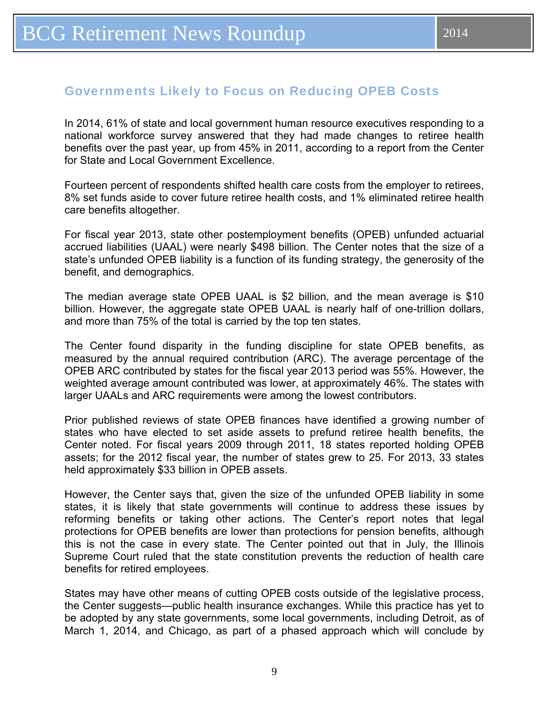### <span id="page-8-0"></span>Governments Likely to Focus on Reducing OPEB Costs

In 2014, 61% of state and local government human resource executives responding to a national workforce survey answered that they had made changes to retiree health benefits over the past year, up from 45% in 2011, according to a report from the Center for State and Local Government Excellence.

Fourteen percent of respondents shifted health care costs from the employer to retirees, 8% set funds aside to cover future retiree health costs, and 1% eliminated retiree health care benefits altogether.

For fiscal year 2013, state other postemployment benefits (OPEB) unfunded actuarial accrued liabilities (UAAL) were nearly \$498 billion. The Center notes that the size of a state's unfunded OPEB liability is a function of its funding strategy, the generosity of the benefit, and demographics.

The median average state OPEB UAAL is \$2 billion, and the mean average is \$10 billion. However, the aggregate state OPEB UAAL is nearly half of one-trillion dollars, and more than 75% of the total is carried by the top ten states.

The Center found disparity in the funding discipline for state OPEB benefits, as measured by the annual required contribution (ARC). The average percentage of the OPEB ARC contributed by states for the fiscal year 2013 period was 55%. However, the weighted average amount contributed was lower, at approximately 46%. The states with larger UAALs and ARC requirements were among the lowest contributors.

Prior published reviews of state OPEB finances have identified a growing number of states who have elected to set aside assets to prefund retiree health benefits, the Center noted. For fiscal years 2009 through 2011, 18 states reported holding OPEB assets; for the 2012 fiscal year, the number of states grew to 25. For 2013, 33 states held approximately \$33 billion in OPEB assets.

However, the Center says that, given the size of the unfunded OPEB liability in some states, it is likely that state governments will continue to address these issues by reforming benefits or taking other actions. The Center's report notes that legal protections for OPEB benefits are lower than protections for pension benefits, although this is not the case in every state. The Center pointed out that in July, the Illinois Supreme Court ruled that the state constitution prevents the reduction of health care benefits for retired employees.

States may have other means of cutting OPEB costs outside of the legislative process, the Center suggests—public health insurance exchanges. While this practice has yet to be adopted by any state governments, some local governments, including Detroit, as of March 1, 2014, and Chicago, as part of a phased approach which will conclude by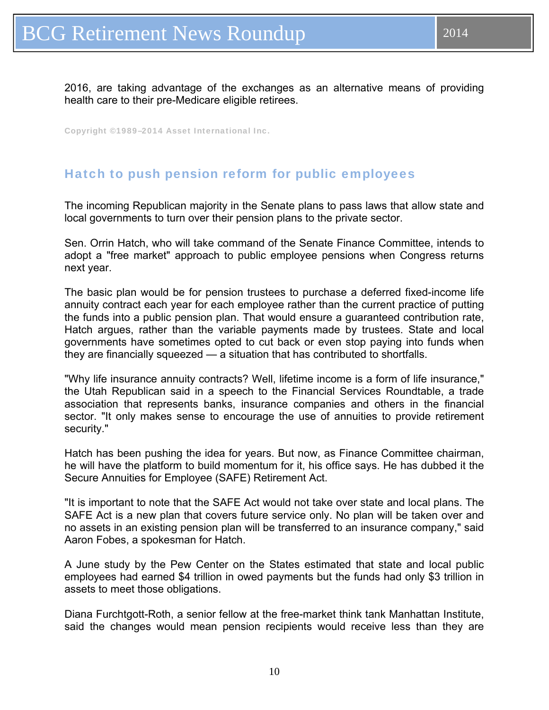<span id="page-9-0"></span>Copyright ©1989–2014 Asset International Inc.

### Hatch to push pension reform for public employees

The incoming Republican majority in the Senate plans to pass laws that allow state and local governments to turn over their pension plans to the private sector.

Sen. Orrin Hatch, who will take command of the Senate Finance Committee, intends to adopt a "free market" approach to public employee pensions when Congress returns next year.

The basic plan would be for pension trustees to purchase a deferred fixed-income life annuity contract each year for each employee rather than the current practice of putting the funds into a public pension plan. That would ensure a guaranteed contribution rate, Hatch argues, rather than the variable payments made by trustees. State and local governments have sometimes opted to cut back or even stop paying into funds when they are financially squeezed — a situation that has contributed to shortfalls.

"Why life insurance annuity contracts? Well, lifetime income is a form of life insurance," the Utah Republican said in a speech to the Financial Services Roundtable, a trade association that represents banks, insurance companies and others in the financial sector. "It only makes sense to encourage the use of annuities to provide retirement security."

Hatch has been pushing the idea for years. But now, as Finance Committee chairman, he will have the platform to build momentum for it, his office says. He has dubbed it the Secure Annuities for Employee (SAFE) Retirement Act.

"It is important to note that the SAFE Act would not take over state and local plans. The SAFE Act is a new plan that covers future service only. No plan will be taken over and no assets in an existing pension plan will be transferred to an insurance company," said Aaron Fobes, a spokesman for Hatch.

A June study by the Pew Center on the States estimated that state and local public employees had earned \$4 trillion in owed payments but the funds had only \$3 trillion in assets to meet those obligations.

Diana Furchtgott-Roth, a senior fellow at the free-market think tank Manhattan Institute, said the changes would mean pension recipients would receive less than they are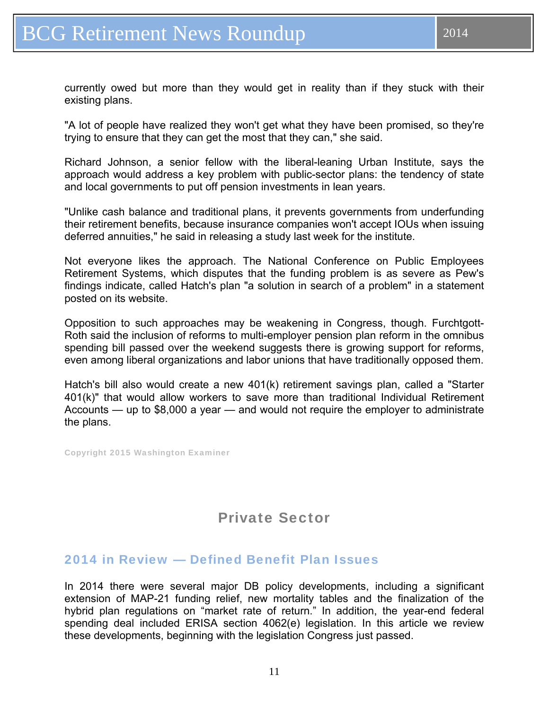<span id="page-10-0"></span>"A lot of people have realized they won't get what they have been promised, so they're trying to ensure that they can get the most that they can," she said.

Richard Johnson, a senior fellow with the liberal-leaning Urban Institute, says the approach would address a key problem with public-sector plans: the tendency of state and local governments to put off pension investments in lean years.

"Unlike cash balance and traditional plans, it prevents governments from underfunding their retirement benefits, because insurance companies won't accept IOUs when issuing deferred annuities," he said in releasing a study last week for the institute.

Not everyone likes the approach. The National Conference on Public Employees Retirement Systems, which disputes that the funding problem is as severe as Pew's findings indicate, called Hatch's plan "a solution in search of a problem" in a statement posted on its website.

Opposition to such approaches may be weakening in Congress, though. Furchtgott-Roth said the inclusion of reforms to multi-employer pension plan reform in the omnibus spending bill passed over the weekend suggests there is growing support for reforms, even among liberal organizations and labor unions that have traditionally opposed them.

Hatch's bill also would create a new 401(k) retirement savings plan, called a "Starter 401(k)" that would allow workers to save more than traditional Individual Retirement Accounts — up to \$8,000 a year — and would not require the employer to administrate the plans.

Copyright 2015 Washington Examiner

# Private Sector

### 2014 in Review — Defined Benefit Plan Issues

In 2014 there were several major DB policy developments, including a significant extension of MAP-21 funding relief, new mortality tables and the finalization of the hybrid plan regulations on "market rate of return." In addition, the year-end federal spending deal included ERISA section 4062(e) legislation. In this article we review these developments, beginning with the legislation Congress just passed.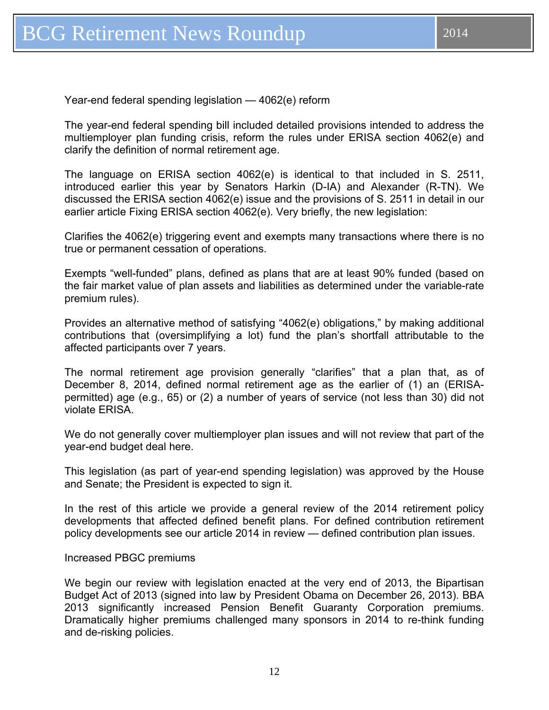Year-end federal spending legislation — 4062(e) reform

The year-end federal spending bill included detailed provisions intended to address the multiemployer plan funding crisis, reform the rules under ERISA section 4062(e) and clarify the definition of normal retirement age.

The language on ERISA section 4062(e) is identical to that included in S. 2511, introduced earlier this year by Senators Harkin (D-IA) and Alexander (R-TN). We discussed the ERISA section 4062(e) issue and the provisions of S. 2511 in detail in our earlier article Fixing ERISA section 4062(e). Very briefly, the new legislation:

Clarifies the 4062(e) triggering event and exempts many transactions where there is no true or permanent cessation of operations.

Exempts "well-funded" plans, defined as plans that are at least 90% funded (based on the fair market value of plan assets and liabilities as determined under the variable-rate premium rules).

Provides an alternative method of satisfying "4062(e) obligations," by making additional contributions that (oversimplifying a lot) fund the plan's shortfall attributable to the affected participants over 7 years.

The normal retirement age provision generally "clarifies" that a plan that, as of December 8, 2014, defined normal retirement age as the earlier of (1) an (ERISApermitted) age (e.g., 65) or (2) a number of years of service (not less than 30) did not violate ERISA.

We do not generally cover multiemployer plan issues and will not review that part of the year-end budget deal here.

This legislation (as part of year-end spending legislation) was approved by the House and Senate; the President is expected to sign it.

In the rest of this article we provide a general review of the 2014 retirement policy developments that affected defined benefit plans. For defined contribution retirement policy developments see our article 2014 in review — defined contribution plan issues.

### Increased PBGC premiums

We begin our review with legislation enacted at the very end of 2013, the Bipartisan Budget Act of 2013 (signed into law by President Obama on December 26, 2013). BBA 2013 significantly increased Pension Benefit Guaranty Corporation premiums. Dramatically higher premiums challenged many sponsors in 2014 to re-think funding and de-risking policies.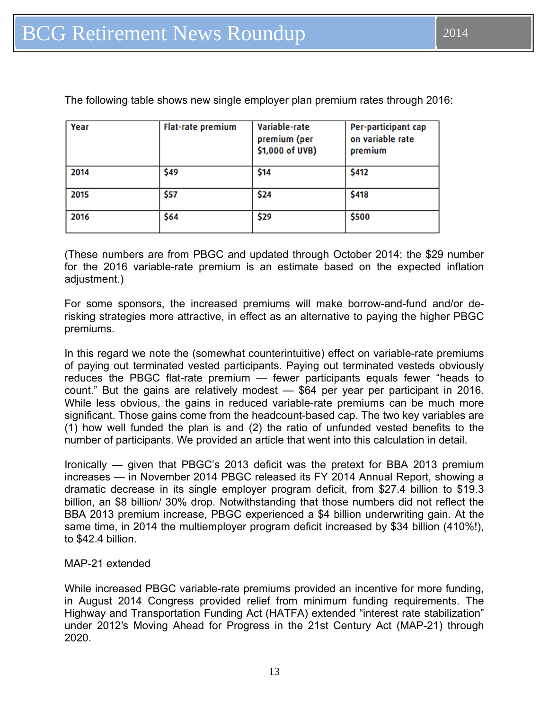| Year | Flat-rate premium | Variable-rate<br>premium (per<br>\$1,000 of UVB) | Per-participant cap<br>on variable rate<br>premium |
|------|-------------------|--------------------------------------------------|----------------------------------------------------|
| 2014 | \$49              | \$14                                             | \$412                                              |
| 2015 | \$57              | \$24                                             | \$418                                              |
| 2016 | \$64              | \$29                                             | \$500                                              |

The following table shows new single employer plan premium rates through 2016:

(These numbers are from PBGC and updated through October 2014; the \$29 number for the 2016 variable-rate premium is an estimate based on the expected inflation adjustment.)

For some sponsors, the increased premiums will make borrow-and-fund and/or derisking strategies more attractive, in effect as an alternative to paying the higher PBGC premiums.

In this regard we note the (somewhat counterintuitive) effect on variable-rate premiums of paying out terminated vested participants. Paying out terminated vesteds obviously reduces the PBGC flat-rate premium — fewer participants equals fewer "heads to count." But the gains are relatively modest — \$64 per year per participant in 2016. While less obvious, the gains in reduced variable-rate premiums can be much more significant. Those gains come from the headcount-based cap. The two key variables are (1) how well funded the plan is and (2) the ratio of unfunded vested benefits to the number of participants. We provided an article that went into this calculation in detail.

Ironically — given that PBGC's 2013 deficit was the pretext for BBA 2013 premium increases — in November 2014 PBGC released its FY 2014 Annual Report, showing a dramatic decrease in its single employer program deficit, from \$27.4 billion to \$19.3 billion, an \$8 billion/ 30% drop. Notwithstanding that those numbers did not reflect the BBA 2013 premium increase, PBGC experienced a \$4 billion underwriting gain. At the same time, in 2014 the multiemployer program deficit increased by \$34 billion (410%!), to \$42.4 billion.

### MAP-21 extended

While increased PBGC variable-rate premiums provided an incentive for more funding, in August 2014 Congress provided relief from minimum funding requirements. The Highway and Transportation Funding Act (HATFA) extended "interest rate stabilization" under 2012′s Moving Ahead for Progress in the 21st Century Act (MAP-21) through 2020.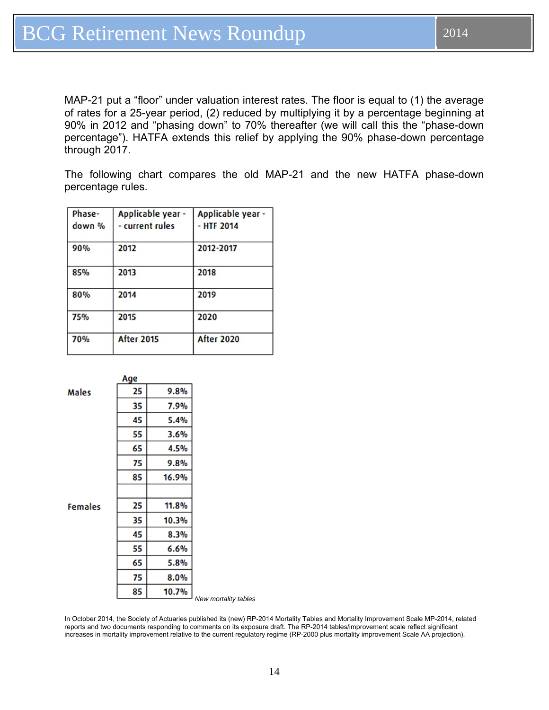MAP-21 put a "floor" under valuation interest rates. The floor is equal to (1) the average of rates for a 25-year period, (2) reduced by multiplying it by a percentage beginning at 90% in 2012 and "phasing down" to 70% thereafter (we will call this the "phase-down percentage"). HATFA extends this relief by applying the 90% phase-down percentage through 2017.

The following chart compares the old MAP-21 and the new HATFA phase-down percentage rules.

| Phase-<br>down % | Applicable year -<br>- current rules | Applicable year -<br>- HTF 2014 |
|------------------|--------------------------------------|---------------------------------|
| 90%              | 2012                                 | 2012-2017                       |
| 85%              | 2013                                 | 2018                            |
| 80%              | 2014                                 | 2019                            |
| 75%              | 2015                                 | 2020                            |
| 70%              | After 2015                           | After 2020                      |

|                | Age |       |                      |
|----------------|-----|-------|----------------------|
| <b>Males</b>   | 25  | 9.8%  |                      |
|                | 35  | 7.9%  |                      |
|                | 45  | 5.4%  |                      |
|                | 55  | 3.6%  |                      |
|                | 65  | 4.5%  |                      |
|                | 75  | 9.8%  |                      |
|                | 85  | 16.9% |                      |
|                |     |       |                      |
| <b>Females</b> | 25  | 11.8% |                      |
|                | 35  | 10.3% |                      |
|                | 45  | 8.3%  |                      |
|                | 55  | 6.6%  |                      |
|                | 65  | 5.8%  |                      |
|                | 75  | 8.0%  |                      |
|                | 85  | 10.7% |                      |
|                |     |       | New mortality tables |

In October 2014, the Society of Actuaries published its (new) RP-2014 Mortality Tables and Mortality Improvement Scale MP-2014, related reports and two documents responding to comments on its exposure draft. The RP-2014 tables/improvement scale reflect significant increases in mortality improvement relative to the current regulatory regime (RP-2000 plus mortality improvement Scale AA projection).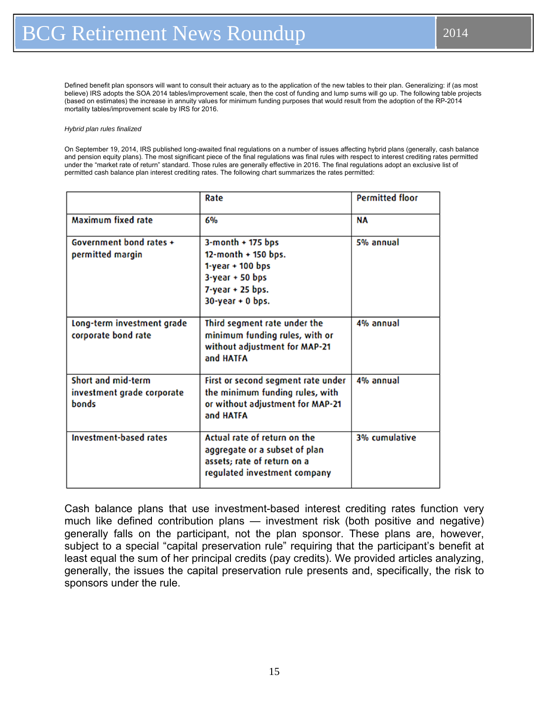Defined benefit plan sponsors will want to consult their actuary as to the application of the new tables to their plan. Generalizing: if (as most believe) IRS adopts the SOA 2014 tables/improvement scale, then the cost of funding and lump sums will go up. The following table projects (based on estimates) the increase in annuity values for minimum funding purposes that would result from the adoption of the RP-2014 mortality tables/improvement scale by IRS for 2016.

#### *Hybrid plan rules finalized*

On September 19, 2014, IRS published long-awaited final regulations on a number of issues affecting hybrid plans (generally, cash balance and pension equity plans). The most significant piece of the final regulations was final rules with respect to interest crediting rates permitted under the "market rate of return" standard. Those rules are generally effective in 2016. The final regulations adopt an exclusive list of permitted cash balance plan interest crediting rates. The following chart summarizes the rates permitted:

|                                                           | Rate                                                                                                                               | <b>Permitted floor</b> |
|-----------------------------------------------------------|------------------------------------------------------------------------------------------------------------------------------------|------------------------|
| <b>Maximum fixed rate</b>                                 | 6%                                                                                                                                 | ΝA                     |
| Government bond rates +<br>permitted margin               | 3-month + 175 bps<br>$12$ -month + 150 bps.<br>$1-year + 100 bps$<br>$3$ -year + 50 bps<br>7-year + 25 bps.<br>$30$ -year + 0 bps. | 5% annual              |
| Long-term investment grade<br>corporate bond rate         | Third segment rate under the<br>minimum funding rules, with or<br>without adjustment for MAP-21<br>and HATFA                       | 4% annual              |
| Short and mid-term<br>investment grade corporate<br>bonds | First or second segment rate under<br>the minimum funding rules, with<br>or without adjustment for MAP-21<br>and HATFA             | 4% annual              |
| <b>Investment-based rates</b>                             | Actual rate of return on the<br>aggregate or a subset of plan<br>assets; rate of return on a<br>regulated investment company       | 3% cumulative          |

Cash balance plans that use investment-based interest crediting rates function very much like defined contribution plans — investment risk (both positive and negative) generally falls on the participant, not the plan sponsor. These plans are, however, subject to a special "capital preservation rule" requiring that the participant's benefit at least equal the sum of her principal credits (pay credits). We provided articles analyzing, generally, the issues the capital preservation rule presents and, specifically, the risk to sponsors under the rule.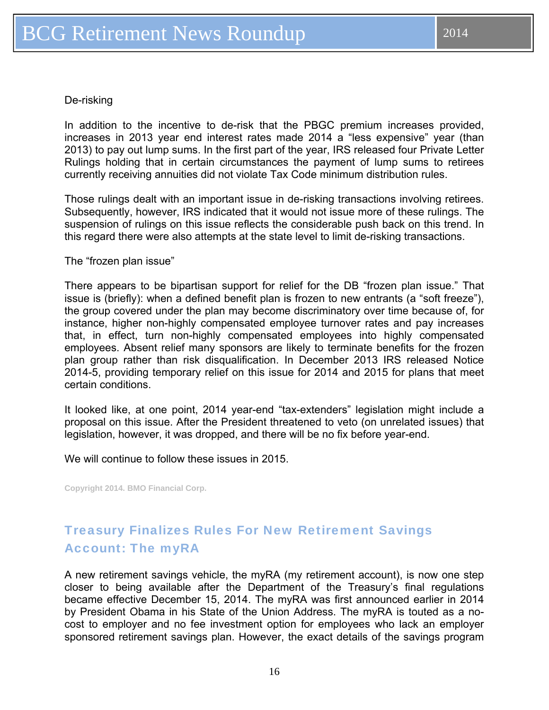### <span id="page-15-0"></span>De-risking

In addition to the incentive to de-risk that the PBGC premium increases provided, increases in 2013 year end interest rates made 2014 a "less expensive" year (than 2013) to pay out lump sums. In the first part of the year, IRS released four Private Letter Rulings holding that in certain circumstances the payment of lump sums to retirees currently receiving annuities did not violate Tax Code minimum distribution rules.

Those rulings dealt with an important issue in de-risking transactions involving retirees. Subsequently, however, IRS indicated that it would not issue more of these rulings. The suspension of rulings on this issue reflects the considerable push back on this trend. In this regard there were also attempts at the state level to limit de-risking transactions.

The "frozen plan issue"

There appears to be bipartisan support for relief for the DB "frozen plan issue." That issue is (briefly): when a defined benefit plan is frozen to new entrants (a "soft freeze"), the group covered under the plan may become discriminatory over time because of, for instance, higher non-highly compensated employee turnover rates and pay increases that, in effect, turn non-highly compensated employees into highly compensated employees. Absent relief many sponsors are likely to terminate benefits for the frozen plan group rather than risk disqualification. In December 2013 IRS released Notice 2014-5, providing temporary relief on this issue for 2014 and 2015 for plans that meet certain conditions.

It looked like, at one point, 2014 year-end "tax-extenders" legislation might include a proposal on this issue. After the President threatened to veto (on unrelated issues) that legislation, however, it was dropped, and there will be no fix before year-end.

We will continue to follow these issues in 2015.

**Copyright 2014. BMO Financial Corp.** 

# Treasury Finalizes Rules For New Retirement Savings Account: The myRA

A new retirement savings vehicle, the myRA (my retirement account), is now one step closer to being available after the Department of the Treasury's final regulations became effective December 15, 2014. The myRA was first announced earlier in 2014 by President Obama in his State of the Union Address. The myRA is touted as a nocost to employer and no fee investment option for employees who lack an employer sponsored retirement savings plan. However, the exact details of the savings program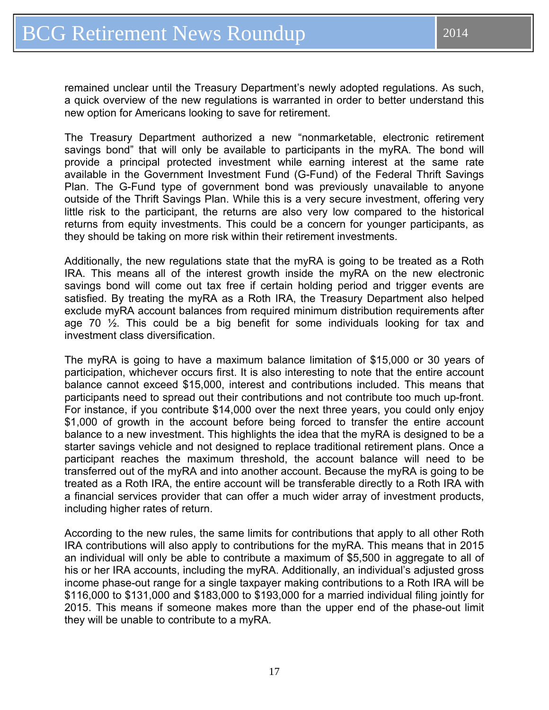The Treasury Department authorized a new "nonmarketable, electronic retirement savings bond" that will only be available to participants in the myRA. The bond will provide a principal protected investment while earning interest at the same rate available in the Government Investment Fund (G-Fund) of the Federal Thrift Savings Plan. The G-Fund type of government bond was previously unavailable to anyone outside of the Thrift Savings Plan. While this is a very secure investment, offering very little risk to the participant, the returns are also very low compared to the historical returns from equity investments. This could be a concern for younger participants, as they should be taking on more risk within their retirement investments.

Additionally, the new regulations state that the myRA is going to be treated as a Roth IRA. This means all of the interest growth inside the myRA on the new electronic savings bond will come out tax free if certain holding period and trigger events are satisfied. By treating the myRA as a Roth IRA, the Treasury Department also helped exclude myRA account balances from required minimum distribution requirements after age 70 ½. This could be a big benefit for some individuals looking for tax and investment class diversification.

The myRA is going to have a maximum balance limitation of \$15,000 or 30 years of participation, whichever occurs first. It is also interesting to note that the entire account balance cannot exceed \$15,000, interest and contributions included. This means that participants need to spread out their contributions and not contribute too much up-front. For instance, if you contribute \$14,000 over the next three years, you could only enjoy \$1,000 of growth in the account before being forced to transfer the entire account balance to a new investment. This highlights the idea that the myRA is designed to be a starter savings vehicle and not designed to replace traditional retirement plans. Once a participant reaches the maximum threshold, the account balance will need to be transferred out of the myRA and into another account. Because the myRA is going to be treated as a Roth IRA, the entire account will be transferable directly to a Roth IRA with a financial services provider that can offer a much wider array of investment products, including higher rates of return.

According to the new rules, the same limits for contributions that apply to all other Roth IRA contributions will also apply to contributions for the myRA. This means that in 2015 an individual will only be able to contribute a maximum of \$5,500 in aggregate to all of his or her IRA accounts, including the myRA. Additionally, an individual's adjusted gross income phase-out range for a single taxpayer making contributions to a Roth IRA will be \$116,000 to \$131,000 and \$183,000 to \$193,000 for a married individual filing jointly for 2015. This means if someone makes more than the upper end of the phase-out limit they will be unable to contribute to a myRA.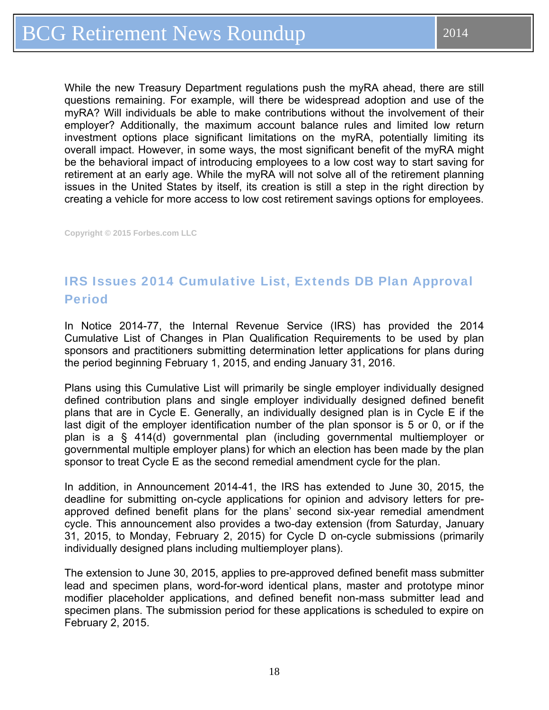<span id="page-17-0"></span>While the new Treasury Department regulations push the myRA ahead, there are still questions remaining. For example, will there be widespread adoption and use of the myRA? Will individuals be able to make contributions without the involvement of their employer? Additionally, the maximum account balance rules and limited low return investment options place significant limitations on the myRA, potentially limiting its overall impact. However, in some ways, the most significant benefit of the myRA might be the behavioral impact of introducing employees to a low cost way to start saving for retirement at an early age. While the myRA will not solve all of the retirement planning issues in the United States by itself, its creation is still a step in the right direction by creating a vehicle for more access to low cost retirement savings options for employees.

**Copyright © 2015 Forbes.com LLC** 

# IRS Issues 2014 Cumulative List, Extends DB Plan Approval Period

In Notice 2014-77, the Internal Revenue Service (IRS) has provided the 2014 Cumulative List of Changes in Plan Qualification Requirements to be used by plan sponsors and practitioners submitting determination letter applications for plans during the period beginning February 1, 2015, and ending January 31, 2016.

Plans using this Cumulative List will primarily be single employer individually designed defined contribution plans and single employer individually designed defined benefit plans that are in Cycle E. Generally, an individually designed plan is in Cycle E if the last digit of the employer identification number of the plan sponsor is 5 or 0, or if the plan is a § 414(d) governmental plan (including governmental multiemployer or governmental multiple employer plans) for which an election has been made by the plan sponsor to treat Cycle E as the second remedial amendment cycle for the plan.

In addition, in Announcement 2014-41, the IRS has extended to June 30, 2015, the deadline for submitting on-cycle applications for opinion and advisory letters for preapproved defined benefit plans for the plans' second six-year remedial amendment cycle. This announcement also provides a two-day extension (from Saturday, January 31, 2015, to Monday, February 2, 2015) for Cycle D on-cycle submissions (primarily individually designed plans including multiemployer plans).

The extension to June 30, 2015, applies to pre-approved defined benefit mass submitter lead and specimen plans, word-for-word identical plans, master and prototype minor modifier placeholder applications, and defined benefit non-mass submitter lead and specimen plans. The submission period for these applications is scheduled to expire on February 2, 2015.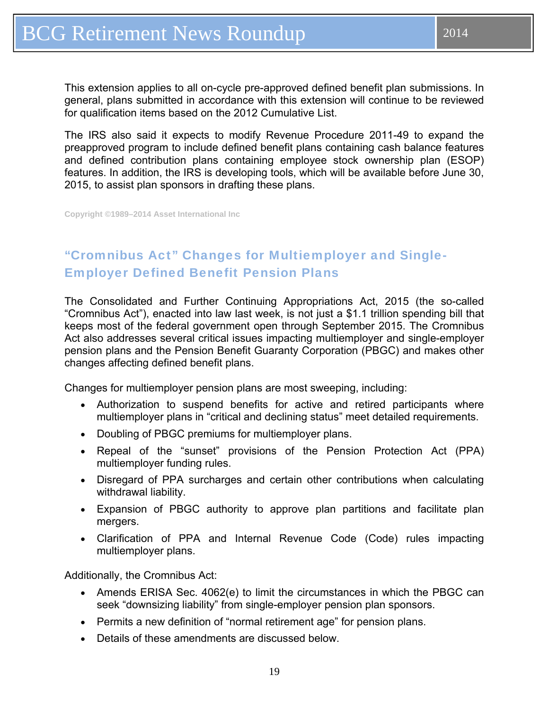<span id="page-18-0"></span>This extension applies to all on-cycle pre-approved defined benefit plan submissions. In general, plans submitted in accordance with this extension will continue to be reviewed for qualification items based on the 2012 Cumulative List.

The IRS also said it expects to modify Revenue Procedure 2011-49 to expand the preapproved program to include defined benefit plans containing cash balance features and defined contribution plans containing employee stock ownership plan (ESOP) features. In addition, the IRS is developing tools, which will be available before June 30, 2015, to assist plan sponsors in drafting these plans.

**Copyright ©1989–2014 Asset International Inc** 

# "Cromnibus Act" Changes for Multiemployer and Single-Employer Defined Benefit Pension Plans

The Consolidated and Further Continuing Appropriations Act, 2015 (the so-called "Cromnibus Act"), enacted into law last week, is not just a \$1.1 trillion spending bill that keeps most of the federal government open through September 2015. The Cromnibus Act also addresses several critical issues impacting multiemployer and single-employer pension plans and the Pension Benefit Guaranty Corporation (PBGC) and makes other changes affecting defined benefit plans.

Changes for multiemployer pension plans are most sweeping, including:

- Authorization to suspend benefits for active and retired participants where multiemployer plans in "critical and declining status" meet detailed requirements.
- Doubling of PBGC premiums for multiemployer plans.
- Repeal of the "sunset" provisions of the Pension Protection Act (PPA) multiemployer funding rules.
- Disregard of PPA surcharges and certain other contributions when calculating withdrawal liability.
- Expansion of PBGC authority to approve plan partitions and facilitate plan mergers.
- Clarification of PPA and Internal Revenue Code (Code) rules impacting multiemployer plans.

Additionally, the Cromnibus Act:

- Amends ERISA Sec. 4062(e) to limit the circumstances in which the PBGC can seek "downsizing liability" from single-employer pension plan sponsors.
- Permits a new definition of "normal retirement age" for pension plans.
- Details of these amendments are discussed below.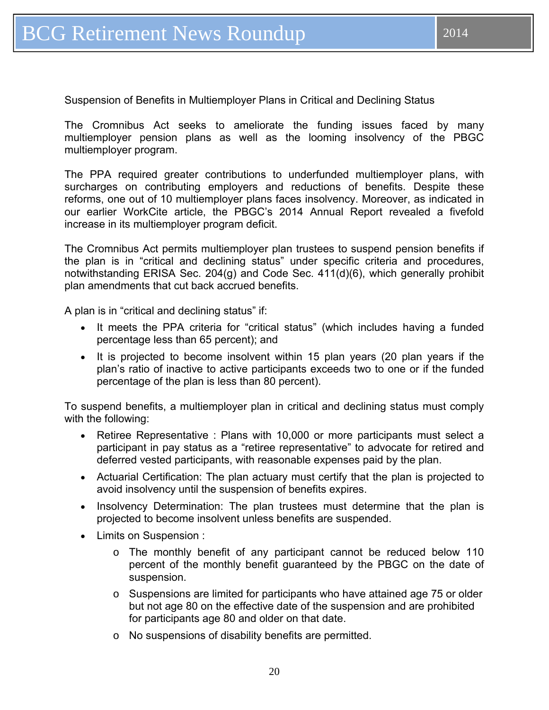Suspension of Benefits in Multiemployer Plans in Critical and Declining Status

The Cromnibus Act seeks to ameliorate the funding issues faced by many multiemployer pension plans as well as the looming insolvency of the PBGC multiemployer program.

The PPA required greater contributions to underfunded multiemployer plans, with surcharges on contributing employers and reductions of benefits. Despite these reforms, one out of 10 multiemployer plans faces insolvency. Moreover, as indicated in our earlier WorkCite article, the PBGC's 2014 Annual Report revealed a fivefold increase in its multiemployer program deficit.

The Cromnibus Act permits multiemployer plan trustees to suspend pension benefits if the plan is in "critical and declining status" under specific criteria and procedures, notwithstanding ERISA Sec. 204(g) and Code Sec. 411(d)(6), which generally prohibit plan amendments that cut back accrued benefits.

A plan is in "critical and declining status" if:

- It meets the PPA criteria for "critical status" (which includes having a funded percentage less than 65 percent); and
- It is projected to become insolvent within 15 plan years (20 plan years if the plan's ratio of inactive to active participants exceeds two to one or if the funded percentage of the plan is less than 80 percent).

To suspend benefits, a multiemployer plan in critical and declining status must comply with the following:

- Retiree Representative : Plans with 10,000 or more participants must select a participant in pay status as a "retiree representative" to advocate for retired and deferred vested participants, with reasonable expenses paid by the plan.
- Actuarial Certification: The plan actuary must certify that the plan is projected to avoid insolvency until the suspension of benefits expires.
- Insolvency Determination: The plan trustees must determine that the plan is projected to become insolvent unless benefits are suspended.
- Limits on Suspension :
	- o The monthly benefit of any participant cannot be reduced below 110 percent of the monthly benefit guaranteed by the PBGC on the date of suspension.
	- $\circ$  Suspensions are limited for participants who have attained age 75 or older but not age 80 on the effective date of the suspension and are prohibited for participants age 80 and older on that date.
	- o No suspensions of disability benefits are permitted.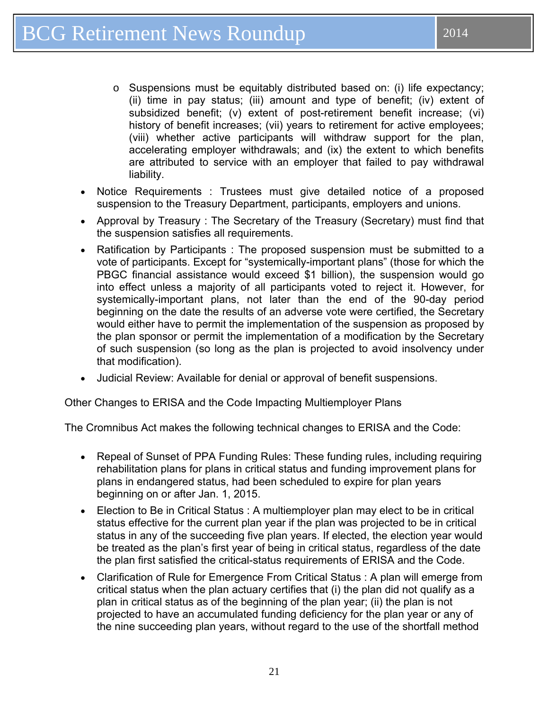- o Suspensions must be equitably distributed based on: (i) life expectancy; (ii) time in pay status; (iii) amount and type of benefit; (iv) extent of subsidized benefit; (v) extent of post-retirement benefit increase; (vi) history of benefit increases; (vii) years to retirement for active employees; (viii) whether active participants will withdraw support for the plan, accelerating employer withdrawals; and (ix) the extent to which benefits are attributed to service with an employer that failed to pay withdrawal liability.
- Notice Requirements : Trustees must give detailed notice of a proposed suspension to the Treasury Department, participants, employers and unions.
- Approval by Treasury : The Secretary of the Treasury (Secretary) must find that the suspension satisfies all requirements.
- Ratification by Participants : The proposed suspension must be submitted to a vote of participants. Except for "systemically-important plans" (those for which the PBGC financial assistance would exceed \$1 billion), the suspension would go into effect unless a majority of all participants voted to reject it. However, for systemically-important plans, not later than the end of the 90-day period beginning on the date the results of an adverse vote were certified, the Secretary would either have to permit the implementation of the suspension as proposed by the plan sponsor or permit the implementation of a modification by the Secretary of such suspension (so long as the plan is projected to avoid insolvency under that modification).
- Judicial Review: Available for denial or approval of benefit suspensions.

Other Changes to ERISA and the Code Impacting Multiemployer Plans

The Cromnibus Act makes the following technical changes to ERISA and the Code:

- Repeal of Sunset of PPA Funding Rules: These funding rules, including requiring rehabilitation plans for plans in critical status and funding improvement plans for plans in endangered status, had been scheduled to expire for plan years beginning on or after Jan. 1, 2015.
- Election to Be in Critical Status : A multiemployer plan may elect to be in critical status effective for the current plan year if the plan was projected to be in critical status in any of the succeeding five plan years. If elected, the election year would be treated as the plan's first year of being in critical status, regardless of the date the plan first satisfied the critical-status requirements of ERISA and the Code.
- Clarification of Rule for Emergence From Critical Status : A plan will emerge from critical status when the plan actuary certifies that (i) the plan did not qualify as a plan in critical status as of the beginning of the plan year; (ii) the plan is not projected to have an accumulated funding deficiency for the plan year or any of the nine succeeding plan years, without regard to the use of the shortfall method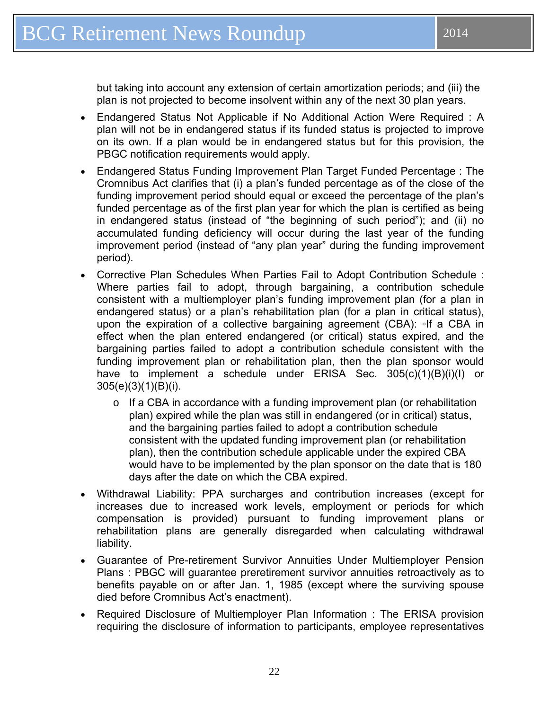but taking into account any extension of certain amortization periods; and (iii) the plan is not projected to become insolvent within any of the next 30 plan years.

- Endangered Status Not Applicable if No Additional Action Were Required : A plan will not be in endangered status if its funded status is projected to improve on its own. If a plan would be in endangered status but for this provision, the PBGC notification requirements would apply.
- Endangered Status Funding Improvement Plan Target Funded Percentage : The Cromnibus Act clarifies that (i) a plan's funded percentage as of the close of the funding improvement period should equal or exceed the percentage of the plan's funded percentage as of the first plan year for which the plan is certified as being in endangered status (instead of "the beginning of such period"); and (ii) no accumulated funding deficiency will occur during the last year of the funding improvement period (instead of "any plan year" during the funding improvement period).
- Corrective Plan Schedules When Parties Fail to Adopt Contribution Schedule : Where parties fail to adopt, through bargaining, a contribution schedule consistent with a multiemployer plan's funding improvement plan (for a plan in endangered status) or a plan's rehabilitation plan (for a plan in critical status), upon the expiration of a collective bargaining agreement (CBA): ◦If a CBA in effect when the plan entered endangered (or critical) status expired, and the bargaining parties failed to adopt a contribution schedule consistent with the funding improvement plan or rehabilitation plan, then the plan sponsor would have to implement a schedule under ERISA Sec. 305(c)(1)(B)(i)(I) or 305(e)(3)(1)(B)(i).
	- $\circ$  If a CBA in accordance with a funding improvement plan (or rehabilitation plan) expired while the plan was still in endangered (or in critical) status, and the bargaining parties failed to adopt a contribution schedule consistent with the updated funding improvement plan (or rehabilitation plan), then the contribution schedule applicable under the expired CBA would have to be implemented by the plan sponsor on the date that is 180 days after the date on which the CBA expired.
- Withdrawal Liability: PPA surcharges and contribution increases (except for increases due to increased work levels, employment or periods for which compensation is provided) pursuant to funding improvement plans or rehabilitation plans are generally disregarded when calculating withdrawal liability.
- Guarantee of Pre-retirement Survivor Annuities Under Multiemployer Pension Plans : PBGC will guarantee preretirement survivor annuities retroactively as to benefits payable on or after Jan. 1, 1985 (except where the surviving spouse died before Cromnibus Act's enactment).
- Required Disclosure of Multiemployer Plan Information : The ERISA provision requiring the disclosure of information to participants, employee representatives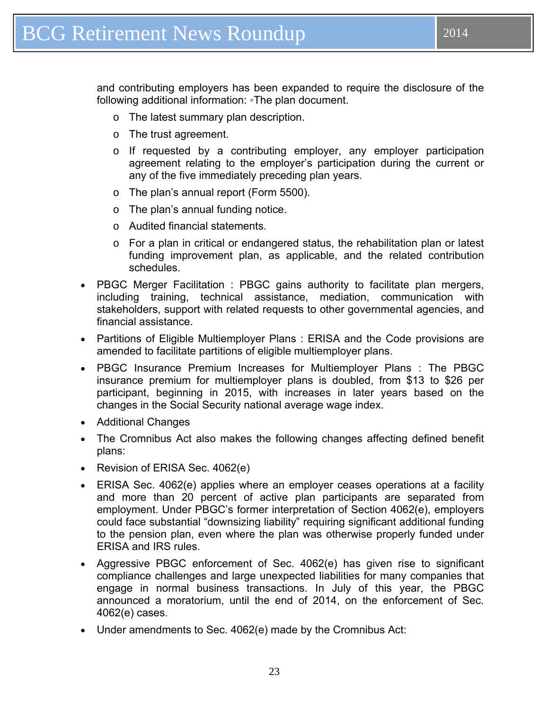and contributing employers has been expanded to require the disclosure of the following additional information: ◦The plan document.

- o The latest summary plan description.
- o The trust agreement.
- o If requested by a contributing employer, any employer participation agreement relating to the employer's participation during the current or any of the five immediately preceding plan years.
- o The plan's annual report (Form 5500).
- o The plan's annual funding notice.
- o Audited financial statements.
- o For a plan in critical or endangered status, the rehabilitation plan or latest funding improvement plan, as applicable, and the related contribution schedules.
- PBGC Merger Facilitation : PBGC gains authority to facilitate plan mergers, including training, technical assistance, mediation, communication with stakeholders, support with related requests to other governmental agencies, and financial assistance.
- Partitions of Eligible Multiemployer Plans : ERISA and the Code provisions are amended to facilitate partitions of eligible multiemployer plans.
- PBGC Insurance Premium Increases for Multiemployer Plans : The PBGC insurance premium for multiemployer plans is doubled, from \$13 to \$26 per participant, beginning in 2015, with increases in later years based on the changes in the Social Security national average wage index.
- Additional Changes
- The Cromnibus Act also makes the following changes affecting defined benefit plans:
- Revision of ERISA Sec. 4062(e)
- ERISA Sec. 4062(e) applies where an employer ceases operations at a facility and more than 20 percent of active plan participants are separated from employment. Under PBGC's former interpretation of Section 4062(e), employers could face substantial "downsizing liability" requiring significant additional funding to the pension plan, even where the plan was otherwise properly funded under ERISA and IRS rules.
- Aggressive PBGC enforcement of Sec. 4062(e) has given rise to significant compliance challenges and large unexpected liabilities for many companies that engage in normal business transactions. In July of this year, the PBGC announced a moratorium, until the end of 2014, on the enforcement of Sec. 4062(e) cases.
- Under amendments to Sec. 4062(e) made by the Cromnibus Act: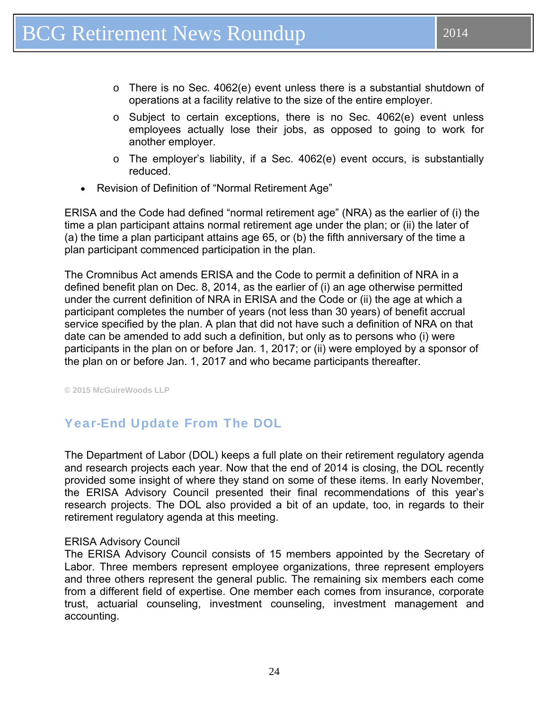- <span id="page-23-0"></span>o Subject to certain exceptions, there is no Sec. 4062(e) event unless employees actually lose their jobs, as opposed to going to work for another employer.
- o The employer's liability, if a Sec. 4062(e) event occurs, is substantially reduced.
- Revision of Definition of "Normal Retirement Age"

ERISA and the Code had defined "normal retirement age" (NRA) as the earlier of (i) the time a plan participant attains normal retirement age under the plan; or (ii) the later of (a) the time a plan participant attains age 65, or (b) the fifth anniversary of the time a plan participant commenced participation in the plan.

The Cromnibus Act amends ERISA and the Code to permit a definition of NRA in a defined benefit plan on Dec. 8, 2014, as the earlier of (i) an age otherwise permitted under the current definition of NRA in ERISA and the Code or (ii) the age at which a participant completes the number of years (not less than 30 years) of benefit accrual service specified by the plan. A plan that did not have such a definition of NRA on that date can be amended to add such a definition, but only as to persons who (i) were participants in the plan on or before Jan. 1, 2017; or (ii) were employed by a sponsor of the plan on or before Jan. 1, 2017 and who became participants thereafter.

**© 2015 McGuireWoods LLP**

# Year-End Update From The DOL

The Department of Labor (DOL) keeps a full plate on their retirement regulatory agenda and research projects each year. Now that the end of 2014 is closing, the DOL recently provided some insight of where they stand on some of these items. In early November, the ERISA Advisory Council presented their final recommendations of this year's research projects. The DOL also provided a bit of an update, too, in regards to their retirement regulatory agenda at this meeting.

### ERISA Advisory Council

The ERISA Advisory Council consists of 15 members appointed by the Secretary of Labor. Three members represent employee organizations, three represent employers and three others represent the general public. The remaining six members each come from a different field of expertise. One member each comes from insurance, corporate trust, actuarial counseling, investment counseling, investment management and accounting.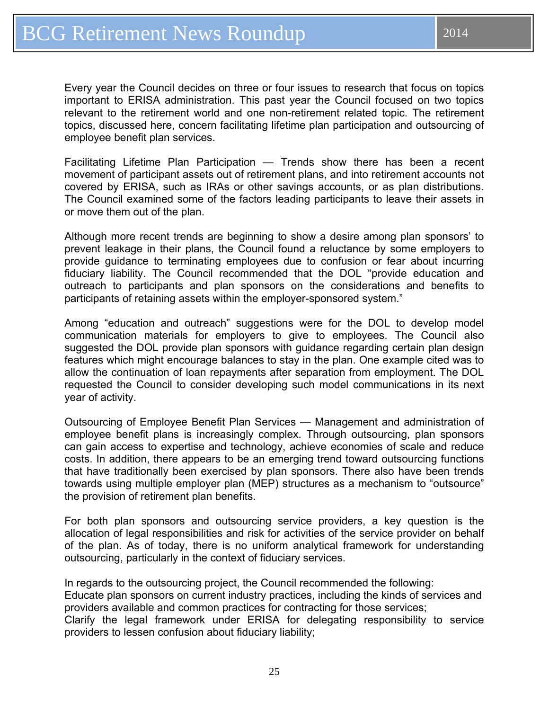Every year the Council decides on three or four issues to research that focus on topics important to ERISA administration. This past year the Council focused on two topics relevant to the retirement world and one non-retirement related topic. The retirement topics, discussed here, concern facilitating lifetime plan participation and outsourcing of employee benefit plan services.

Facilitating Lifetime Plan Participation — Trends show there has been a recent movement of participant assets out of retirement plans, and into retirement accounts not covered by ERISA, such as IRAs or other savings accounts, or as plan distributions. The Council examined some of the factors leading participants to leave their assets in or move them out of the plan.

Although more recent trends are beginning to show a desire among plan sponsors' to prevent leakage in their plans, the Council found a reluctance by some employers to provide guidance to terminating employees due to confusion or fear about incurring fiduciary liability. The Council recommended that the DOL "provide education and outreach to participants and plan sponsors on the considerations and benefits to participants of retaining assets within the employer-sponsored system."

Among "education and outreach" suggestions were for the DOL to develop model communication materials for employers to give to employees. The Council also suggested the DOL provide plan sponsors with guidance regarding certain plan design features which might encourage balances to stay in the plan. One example cited was to allow the continuation of loan repayments after separation from employment. The DOL requested the Council to consider developing such model communications in its next year of activity.

Outsourcing of Employee Benefit Plan Services — Management and administration of employee benefit plans is increasingly complex. Through outsourcing, plan sponsors can gain access to expertise and technology, achieve economies of scale and reduce costs. In addition, there appears to be an emerging trend toward outsourcing functions that have traditionally been exercised by plan sponsors. There also have been trends towards using multiple employer plan (MEP) structures as a mechanism to "outsource" the provision of retirement plan benefits.

For both plan sponsors and outsourcing service providers, a key question is the allocation of legal responsibilities and risk for activities of the service provider on behalf of the plan. As of today, there is no uniform analytical framework for understanding outsourcing, particularly in the context of fiduciary services.

In regards to the outsourcing project, the Council recommended the following:

Educate plan sponsors on current industry practices, including the kinds of services and providers available and common practices for contracting for those services;

Clarify the legal framework under ERISA for delegating responsibility to service providers to lessen confusion about fiduciary liability;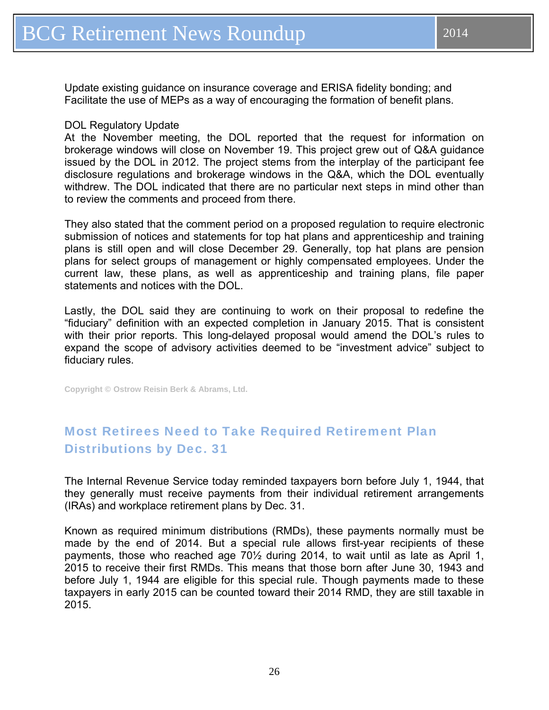<span id="page-25-0"></span>Update existing guidance on insurance coverage and ERISA fidelity bonding; and Facilitate the use of MEPs as a way of encouraging the formation of benefit plans.

### DOL Regulatory Update

At the November meeting, the DOL reported that the request for information on brokerage windows will close on November 19. This project grew out of Q&A guidance issued by the DOL in 2012. The project stems from the interplay of the participant fee disclosure regulations and brokerage windows in the Q&A, which the DOL eventually withdrew. The DOL indicated that there are no particular next steps in mind other than to review the comments and proceed from there.

They also stated that the comment period on a proposed regulation to require electronic submission of notices and statements for top hat plans and apprenticeship and training plans is still open and will close December 29. Generally, top hat plans are pension plans for select groups of management or highly compensated employees. Under the current law, these plans, as well as apprenticeship and training plans, file paper statements and notices with the DOL.

Lastly, the DOL said they are continuing to work on their proposal to redefine the "fiduciary" definition with an expected completion in January 2015. That is consistent with their prior reports. This long-delayed proposal would amend the DOL's rules to expand the scope of advisory activities deemed to be "investment advice" subject to fiduciary rules.

**Copyright © Ostrow Reisin Berk & Abrams, Ltd.**

# Most Retirees Need to Take Required Retirement Plan Distributions by Dec. 31

The Internal Revenue Service today reminded taxpayers born before July 1, 1944, that they generally must receive payments from their individual retirement arrangements (IRAs) and workplace retirement plans by Dec. 31.

Known as required minimum distributions (RMDs), these payments normally must be made by the end of 2014. But a special rule allows first-year recipients of these payments, those who reached age 70½ during 2014, to wait until as late as April 1, 2015 to receive their first RMDs. This means that those born after June 30, 1943 and before July 1, 1944 are eligible for this special rule. Though payments made to these taxpayers in early 2015 can be counted toward their 2014 RMD, they are still taxable in 2015.